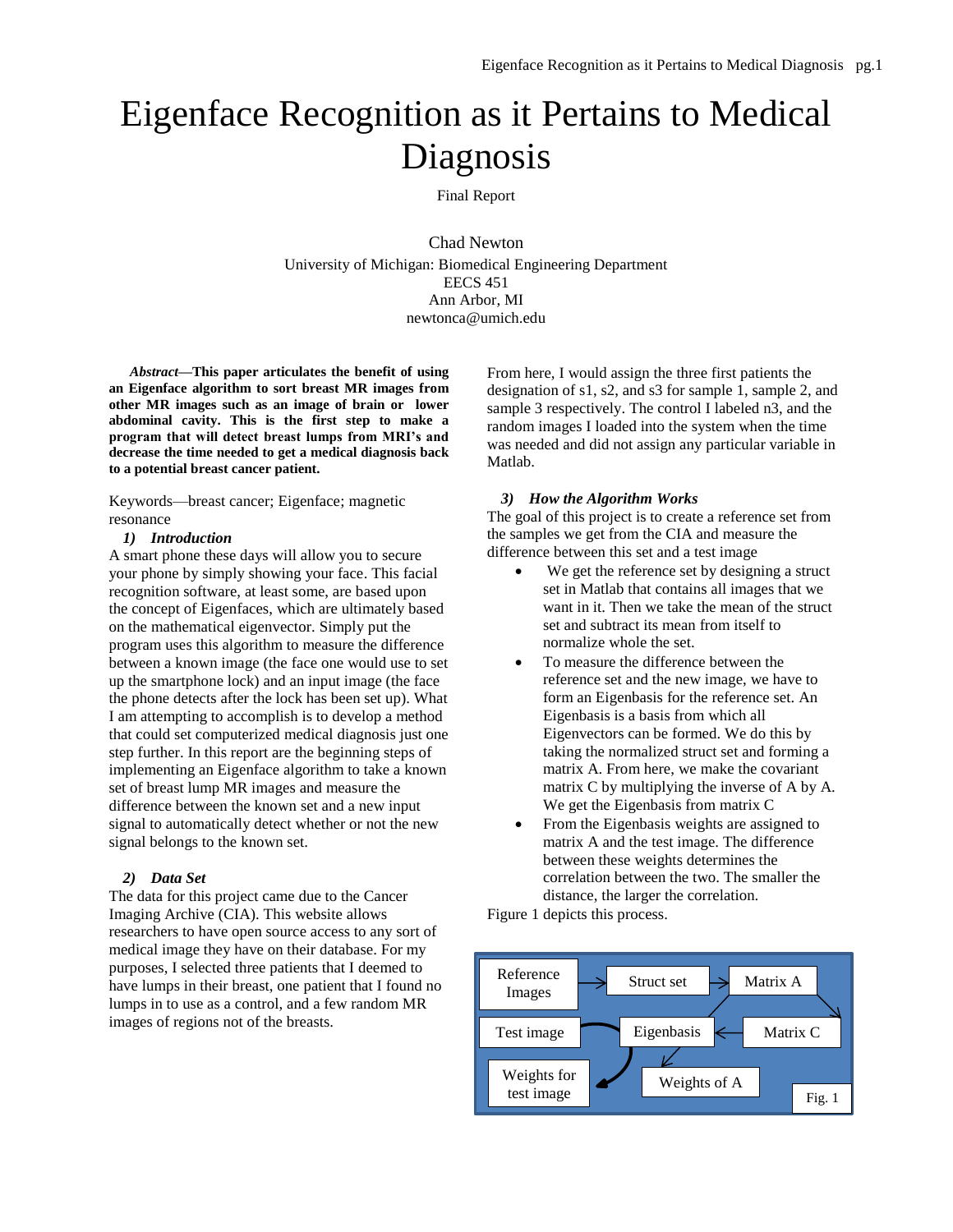# Eigenface Recognition as it Pertains to Medical Diagnosis

# Final Report

Chad Newton University of Michigan: Biomedical Engineering Department EECS 451 Ann Arbor, MI newtonca@umich.edu

*Abstract***—This paper articulates the benefit of using an Eigenface algorithm to sort breast MR images from other MR images such as an image of brain or lower abdominal cavity. This is the first step to make a program that will detect breast lumps from MRI's and decrease the time needed to get a medical diagnosis back to a potential breast cancer patient.** 

Keywords—breast cancer; Eigenface; magnetic resonance

## *1) Introduction*

A smart phone these days will allow you to secure your phone by simply showing your face. This facial recognition software, at least some, are based upon the concept of Eigenfaces, which are ultimately based on the mathematical eigenvector. Simply put the program uses this algorithm to measure the difference between a known image (the face one would use to set up the smartphone lock) and an input image (the face the phone detects after the lock has been set up). What I am attempting to accomplish is to develop a method that could set computerized medical diagnosis just one step further. In this report are the beginning steps of implementing an Eigenface algorithm to take a known set of breast lump MR images and measure the difference between the known set and a new input signal to automatically detect whether or not the new signal belongs to the known set.

## *2) Data Set*

The data for this project came due to the Cancer Imaging Archive (CIA). This website allows researchers to have open source access to any sort of medical image they have on their database. For my purposes, I selected three patients that I deemed to have lumps in their breast, one patient that I found no lumps in to use as a control, and a few random MR images of regions not of the breasts.

From here, I would assign the three first patients the designation of s1, s2, and s3 for sample 1, sample 2, and sample 3 respectively. The control I labeled n3, and the random images I loaded into the system when the time was needed and did not assign any particular variable in Matlab.

## *3) How the Algorithm Works*

The goal of this project is to create a reference set from the samples we get from the CIA and measure the difference between this set and a test image

- We get the reference set by designing a struct set in Matlab that contains all images that we want in it. Then we take the mean of the struct set and subtract its mean from itself to normalize whole the set.
- To measure the difference between the reference set and the new image, we have to form an Eigenbasis for the reference set. An Eigenbasis is a basis from which all Eigenvectors can be formed. We do this by taking the normalized struct set and forming a matrix A. From here, we make the covariant matrix C by multiplying the inverse of A by A. We get the Eigenbasis from matrix C
- From the Eigenbasis weights are assigned to matrix A and the test image. The difference between these weights determines the correlation between the two. The smaller the distance, the larger the correlation.

Figure 1 depicts this process.

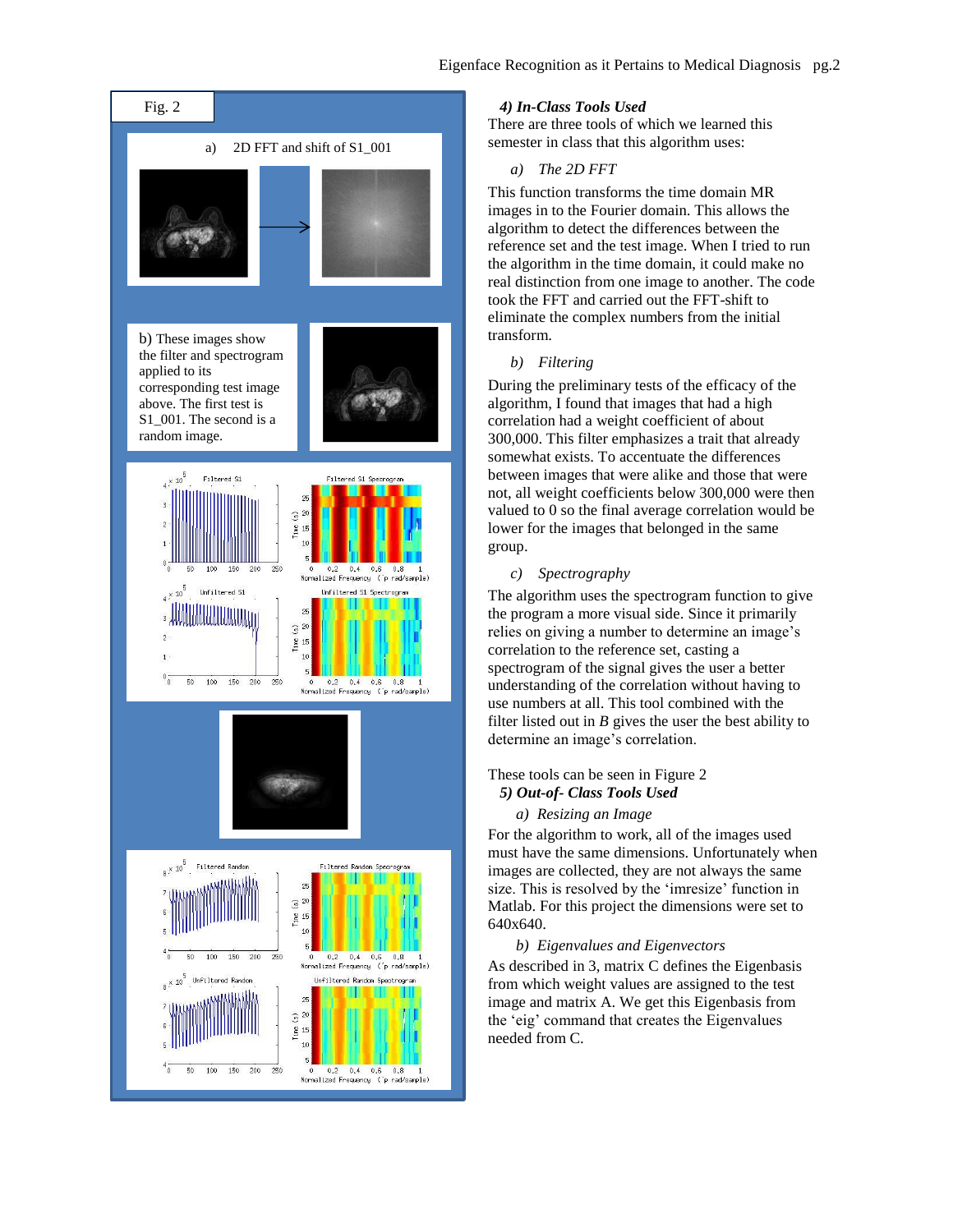

## *4) In-Class Tools Used*

There are three tools of which we learned this semester in class that this algorithm uses:

# *a) The 2D FFT*

This function transforms the time domain MR images in to the Fourier domain. This allows the algorithm to detect the differences between the reference set and the test image. When I tried to run the algorithm in the time domain, it could make no real distinction from one image to another. The code took the FFT and carried out the FFT-shift to eliminate the complex numbers from the initial transform.

### *b) Filtering*

During the preliminary tests of the efficacy of the algorithm, I found that images that had a high correlation had a weight coefficient of about 300,000. This filter emphasizes a trait that already somewhat exists. To accentuate the differences between images that were alike and those that were not, all weight coefficients below 300,000 were then valued to 0 so the final average correlation would be lower for the images that belonged in the same group.

## *c) Spectrography*

The algorithm uses the spectrogram function to give the program a more visual side. Since it primarily relies on giving a number to determine an image's correlation to the reference set, casting a spectrogram of the signal gives the user a better understanding of the correlation without having to use numbers at all. This tool combined with the filter listed out in  $B$  gives the user the best ability to determine an image's correlation.

### These tools can be seen in Figure 2

# *5) Out-of- Class Tools Used*

# *a) Resizing an Image*

For the algorithm to work, all of the images used must have the same dimensions. Unfortunately when images are collected, they are not always the same size. This is resolved by the 'imresize' function in Matlab. For this project the dimensions were set to 640x640.

## *b) Eigenvalues and Eigenvectors*

As described in 3, matrix C defines the Eigenbasis from which weight values are assigned to the test image and matrix A. We get this Eigenbasis from the 'eig' command that creates the Eigenvalues needed from C.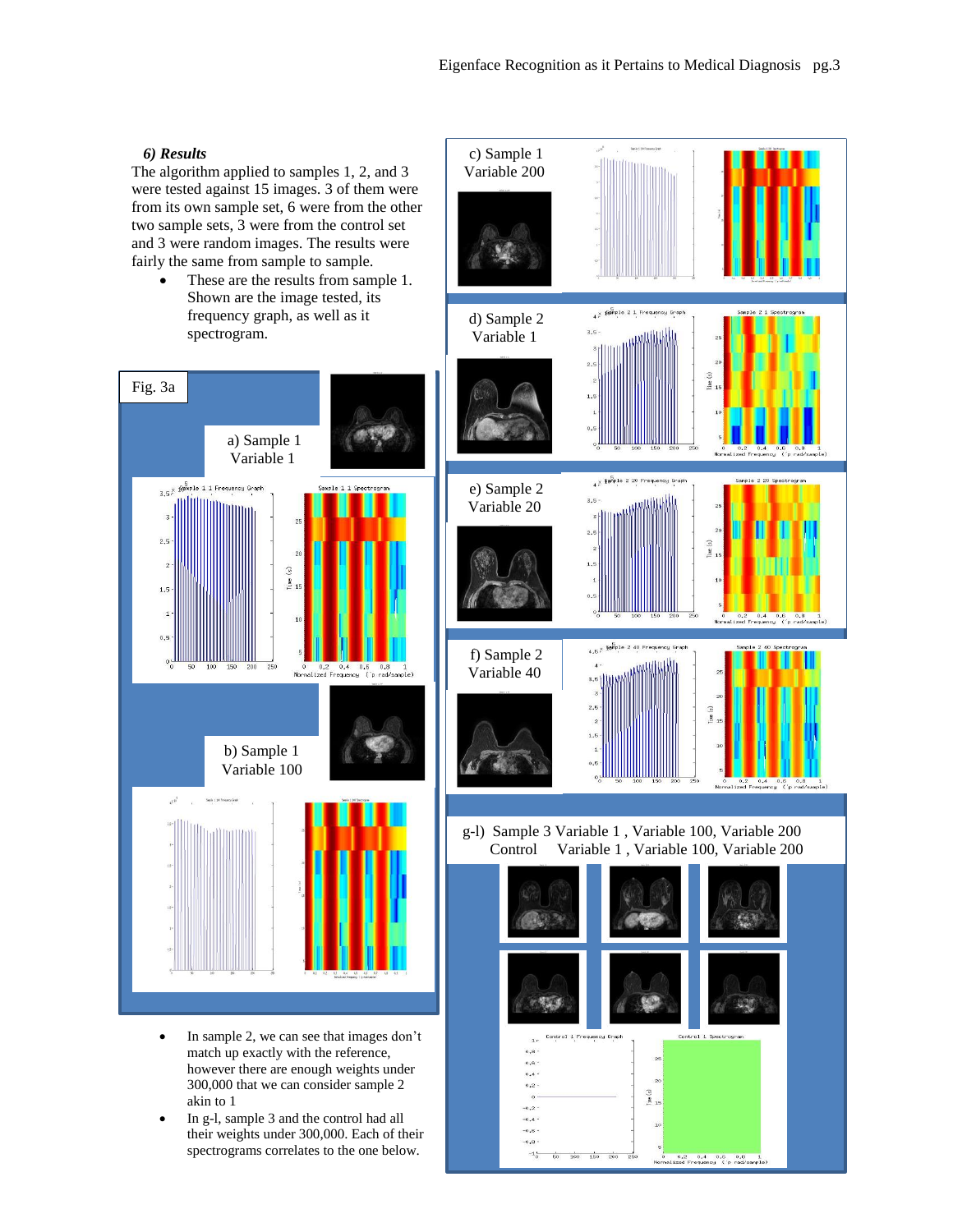# *6) Results*

The algorithm applied to samples 1, 2, and 3 were tested against 15 images. 3 of them were from its own sample set, 6 were from the other two sample sets, 3 were from the control set and 3 were random images. The results were fairly the same from sample to sample.

• These are the results from sample 1. Shown are the image tested, its frequency graph, as well as it spectrogram.



- In sample 2, we can see that images don't match up exactly with the reference, however there are enough weights under 300,000 that we can consider sample 2 akin to 1
- In g-l, sample 3 and the control had all their weights under 300,000. Each of their spectrograms correlates to the one below.